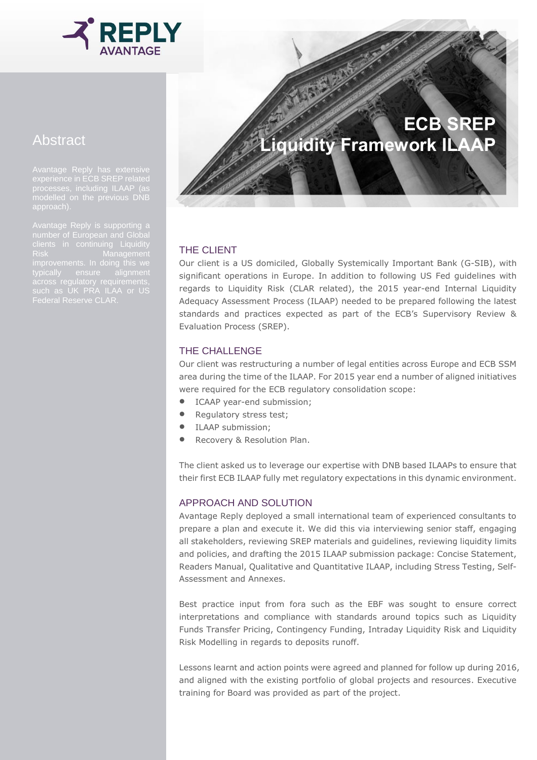

## Abstract

experience in ECB SREP related processes, including ILAAP (as modelled on the previous DNB

such as UK PRA ILAA or US

# **ECB SREP Liquidity Framework ILAAP**

### THE CLIENT

Our client is a US domiciled, Globally Systemically Important Bank (G-SIB), with significant operations in Europe. In addition to following US Fed guidelines with regards to Liquidity Risk (CLAR related), the 2015 year-end Internal Liquidity Adequacy Assessment Process (ILAAP) needed to be prepared following the latest standards and practices expected as part of the ECB's Supervisory Review & Evaluation Process (SREP).

#### THE CHALLENGE

Our client was restructuring a number of legal entities across Europe and ECB SSM area during the time of the ILAAP. For 2015 year end a number of aligned initiatives were required for the ECB regulatory consolidation scope:

- ICAAP year-end submission;
- Regulatory stress test;
- ILAAP submission;
- Recovery & Resolution Plan.

The client asked us to leverage our expertise with DNB based ILAAPs to ensure that their first ECB ILAAP fully met regulatory expectations in this dynamic environment.

#### APPROACH AND SOLUTION

Avantage Reply deployed a small international team of experienced consultants to prepare a plan and execute it. We did this via interviewing senior staff, engaging all stakeholders, reviewing SREP materials and guidelines, reviewing liquidity limits and policies, and drafting the 2015 ILAAP submission package: Concise Statement, Readers Manual, Qualitative and Quantitative ILAAP, including Stress Testing, Self-Assessment and Annexes.

Best practice input from fora such as the EBF was sought to ensure correct interpretations and compliance with standards around topics such as Liquidity Funds Transfer Pricing, Contingency Funding, Intraday Liquidity Risk and Liquidity Risk Modelling in regards to deposits runoff.

Lessons learnt and action points were agreed and planned for follow up during 2016, and aligned with the existing portfolio of global projects and resources. Executive training for Board was provided as part of the project.